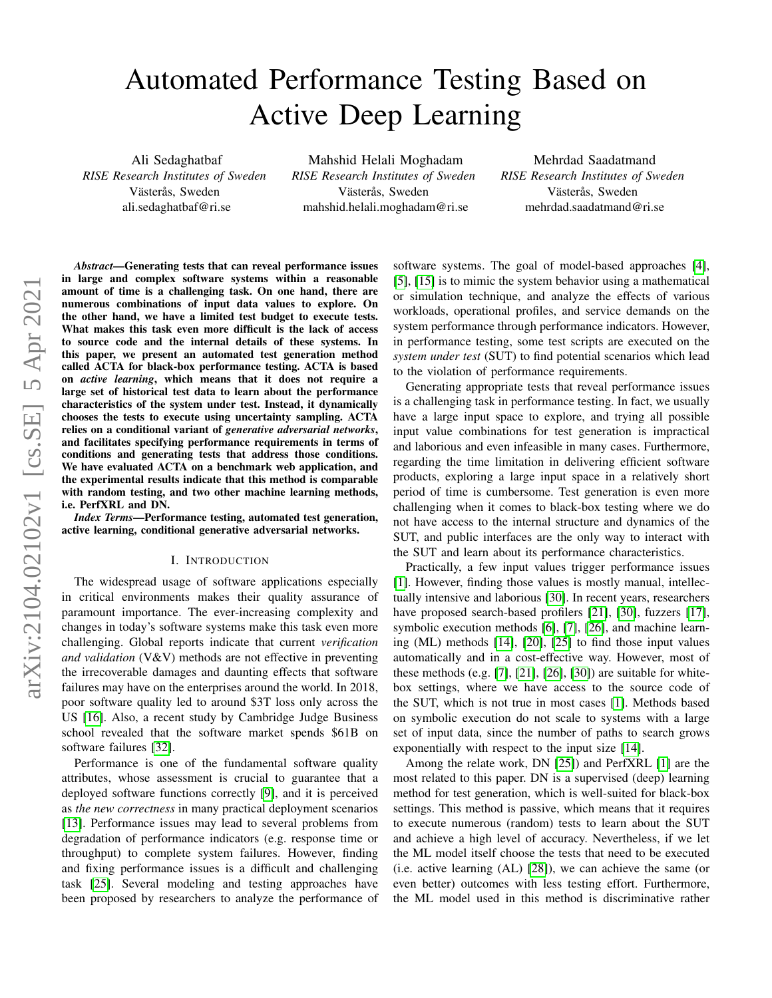# Automated Performance Testing Based on Active Deep Learning

Ali Sedaghatbaf *RISE Research Institutes of Sweden* Västerås, Sweden ali.sedaghatbaf@ri.se

Mahshid Helali Moghadam *RISE Research Institutes of Sweden* Västerås, Sweden mahshid.helali.moghadam@ri.se

Mehrdad Saadatmand *RISE Research Institutes of Sweden* Västerås, Sweden mehrdad.saadatmand@ri.se

*Abstract*—Generating tests that can reveal performance issues in large and complex software systems within a reasonable amount of time is a challenging task. On one hand, there are numerous combinations of input data values to explore. On the other hand, we have a limited test budget to execute tests. What makes this task even more difficult is the lack of access to source code and the internal details of these systems. In this paper, we present an automated test generation method called ACTA for black-box performance testing. ACTA is based on *active learning*, which means that it does not require a large set of historical test data to learn about the performance characteristics of the system under test. Instead, it dynamically chooses the tests to execute using uncertainty sampling. ACTA relies on a conditional variant of *generative adversarial networks*, and facilitates specifying performance requirements in terms of conditions and generating tests that address those conditions. We have evaluated ACTA on a benchmark web application, and the experimental results indicate that this method is comparable with random testing, and two other machine learning methods, i.e. PerfXRL and DN.

*Index Terms*—Performance testing, automated test generation, active learning, conditional generative adversarial networks.

#### I. INTRODUCTION

The widespread usage of software applications especially in critical environments makes their quality assurance of paramount importance. The ever-increasing complexity and changes in today's software systems make this task even more challenging. Global reports indicate that current *verification and validation* (V&V) methods are not effective in preventing the irrecoverable damages and daunting effects that software failures may have on the enterprises around the world. In 2018, poor software quality led to around \$3T loss only across the US [\[16\]](#page-8-0). Also, a recent study by Cambridge Judge Business school revealed that the software market spends \$61B on software failures [\[32\]](#page-8-1).

Performance is one of the fundamental software quality attributes, whose assessment is crucial to guarantee that a deployed software functions correctly [\[9\]](#page-8-2), and it is perceived as *the new correctness* in many practical deployment scenarios [\[13\]](#page-8-3). Performance issues may lead to several problems from degradation of performance indicators (e.g. response time or throughput) to complete system failures. However, finding and fixing performance issues is a difficult and challenging task [\[25\]](#page-8-4). Several modeling and testing approaches have been proposed by researchers to analyze the performance of software systems. The goal of model-based approaches [\[4\]](#page-8-5), [\[5\]](#page-8-6), [\[15\]](#page-8-7) is to mimic the system behavior using a mathematical or simulation technique, and analyze the effects of various workloads, operational profiles, and service demands on the system performance through performance indicators. However, in performance testing, some test scripts are executed on the *system under test* (SUT) to find potential scenarios which lead to the violation of performance requirements.

Generating appropriate tests that reveal performance issues is a challenging task in performance testing. In fact, we usually have a large input space to explore, and trying all possible input value combinations for test generation is impractical and laborious and even infeasible in many cases. Furthermore, regarding the time limitation in delivering efficient software products, exploring a large input space in a relatively short period of time is cumbersome. Test generation is even more challenging when it comes to black-box testing where we do not have access to the internal structure and dynamics of the SUT, and public interfaces are the only way to interact with the SUT and learn about its performance characteristics.

Practically, a few input values trigger performance issues [\[1\]](#page-7-0). However, finding those values is mostly manual, intellectually intensive and laborious [\[30\]](#page-8-8). In recent years, researchers have proposed search-based profilers [\[21\]](#page-8-9), [\[30\]](#page-8-8), fuzzers [\[17\]](#page-8-10), symbolic execution methods [\[6\]](#page-8-11), [\[7\]](#page-8-12), [\[26\]](#page-8-13), and machine learning (ML) methods [\[14\]](#page-8-14), [\[20\]](#page-8-15), [\[25\]](#page-8-4) to find those input values automatically and in a cost-effective way. However, most of these methods (e.g. [\[7\]](#page-8-12), [\[21\]](#page-8-9), [\[26\]](#page-8-13), [\[30\]](#page-8-8)) are suitable for whitebox settings, where we have access to the source code of the SUT, which is not true in most cases [\[1\]](#page-7-0). Methods based on symbolic execution do not scale to systems with a large set of input data, since the number of paths to search grows exponentially with respect to the input size [\[14\]](#page-8-14).

Among the relate work, DN [\[25\]](#page-8-4)) and PerfXRL [\[1\]](#page-7-0) are the most related to this paper. DN is a supervised (deep) learning method for test generation, which is well-suited for black-box settings. This method is passive, which means that it requires to execute numerous (random) tests to learn about the SUT and achieve a high level of accuracy. Nevertheless, if we let the ML model itself choose the tests that need to be executed (i.e. active learning (AL) [\[28\]](#page-8-16)), we can achieve the same (or even better) outcomes with less testing effort. Furthermore, the ML model used in this method is discriminative rather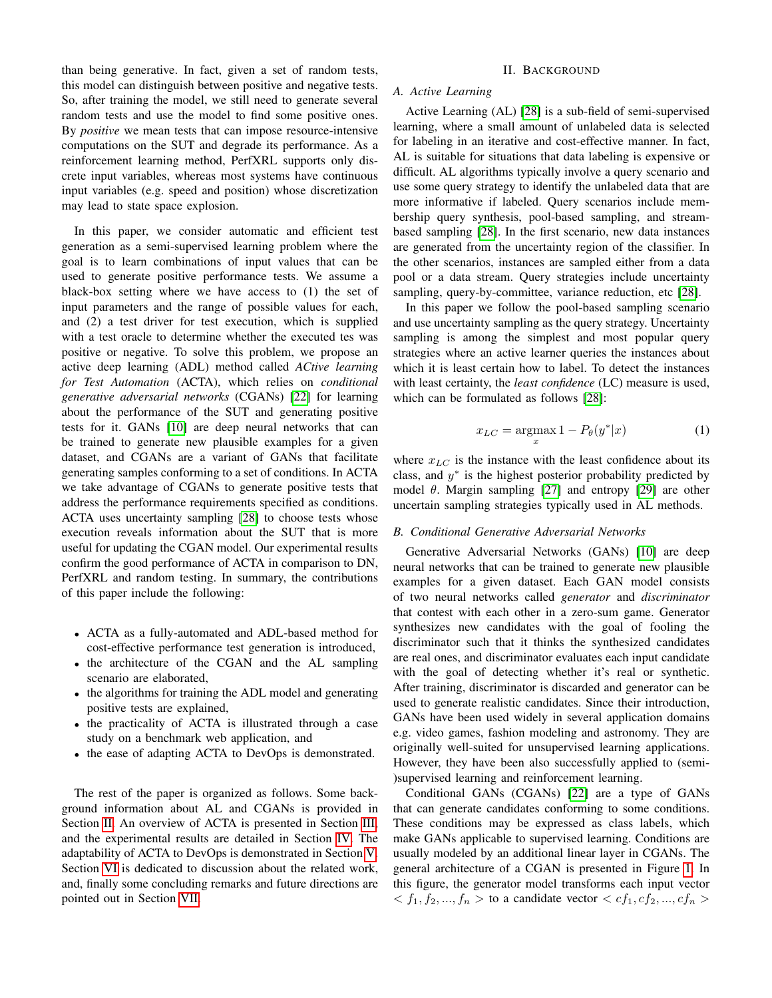than being generative. In fact, given a set of random tests, this model can distinguish between positive and negative tests. So, after training the model, we still need to generate several random tests and use the model to find some positive ones. By *positive* we mean tests that can impose resource-intensive computations on the SUT and degrade its performance. As a reinforcement learning method, PerfXRL supports only discrete input variables, whereas most systems have continuous input variables (e.g. speed and position) whose discretization may lead to state space explosion.

In this paper, we consider automatic and efficient test generation as a semi-supervised learning problem where the goal is to learn combinations of input values that can be used to generate positive performance tests. We assume a black-box setting where we have access to (1) the set of input parameters and the range of possible values for each, and (2) a test driver for test execution, which is supplied with a test oracle to determine whether the executed tes was positive or negative. To solve this problem, we propose an active deep learning (ADL) method called *ACtive learning for Test Automation* (ACTA), which relies on *conditional generative adversarial networks* (CGANs) [\[22\]](#page-8-17) for learning about the performance of the SUT and generating positive tests for it. GANs [\[10\]](#page-8-18) are deep neural networks that can be trained to generate new plausible examples for a given dataset, and CGANs are a variant of GANs that facilitate generating samples conforming to a set of conditions. In ACTA we take advantage of CGANs to generate positive tests that address the performance requirements specified as conditions. ACTA uses uncertainty sampling [\[28\]](#page-8-16) to choose tests whose execution reveals information about the SUT that is more useful for updating the CGAN model. Our experimental results confirm the good performance of ACTA in comparison to DN, PerfXRL and random testing. In summary, the contributions of this paper include the following:

- ACTA as a fully-automated and ADL-based method for cost-effective performance test generation is introduced,
- the architecture of the CGAN and the AL sampling scenario are elaborated,
- the algorithms for training the ADL model and generating positive tests are explained,
- the practicality of ACTA is illustrated through a case study on a benchmark web application, and
- the ease of adapting ACTA to DevOps is demonstrated.

The rest of the paper is organized as follows. Some background information about AL and CGANs is provided in Section [II.](#page-1-0) An overview of ACTA is presented in Section [III,](#page-2-0) and the experimental results are detailed in Section [IV.](#page-3-0) The adaptability of ACTA to DevOps is demonstrated in Section [V.](#page-5-0) Section [VI](#page-6-0) is dedicated to discussion about the related work, and, finally some concluding remarks and future directions are pointed out in Section [VII.](#page-7-1)

# II. BACKGROUND

# <span id="page-1-0"></span>*A. Active Learning*

Active Learning (AL) [\[28\]](#page-8-16) is a sub-field of semi-supervised learning, where a small amount of unlabeled data is selected for labeling in an iterative and cost-effective manner. In fact, AL is suitable for situations that data labeling is expensive or difficult. AL algorithms typically involve a query scenario and use some query strategy to identify the unlabeled data that are more informative if labeled. Query scenarios include membership query synthesis, pool-based sampling, and streambased sampling [\[28\]](#page-8-16). In the first scenario, new data instances are generated from the uncertainty region of the classifier. In the other scenarios, instances are sampled either from a data pool or a data stream. Query strategies include uncertainty sampling, query-by-committee, variance reduction, etc [\[28\]](#page-8-16).

In this paper we follow the pool-based sampling scenario and use uncertainty sampling as the query strategy. Uncertainty sampling is among the simplest and most popular query strategies where an active learner queries the instances about which it is least certain how to label. To detect the instances with least certainty, the *least confidence* (LC) measure is used, which can be formulated as follows [\[28\]](#page-8-16):

<span id="page-1-2"></span>
$$
x_{LC} = \underset{x}{\operatorname{argmax}} 1 - P_{\theta}(y^*|x) \tag{1}
$$

where  $x_{LC}$  is the instance with the least confidence about its class, and  $y^*$  is the highest posterior probability predicted by model  $\theta$ . Margin sampling [\[27\]](#page-8-19) and entropy [\[29\]](#page-8-20) are other uncertain sampling strategies typically used in AL methods.

# <span id="page-1-1"></span>*B. Conditional Generative Adversarial Networks*

Generative Adversarial Networks (GANs) [\[10\]](#page-8-18) are deep neural networks that can be trained to generate new plausible examples for a given dataset. Each GAN model consists of two neural networks called *generator* and *discriminator* that contest with each other in a zero-sum game. Generator synthesizes new candidates with the goal of fooling the discriminator such that it thinks the synthesized candidates are real ones, and discriminator evaluates each input candidate with the goal of detecting whether it's real or synthetic. After training, discriminator is discarded and generator can be used to generate realistic candidates. Since their introduction, GANs have been used widely in several application domains e.g. video games, fashion modeling and astronomy. They are originally well-suited for unsupervised learning applications. However, they have been also successfully applied to (semi- )supervised learning and reinforcement learning.

Conditional GANs (CGANs) [\[22\]](#page-8-17) are a type of GANs that can generate candidates conforming to some conditions. These conditions may be expressed as class labels, which make GANs applicable to supervised learning. Conditions are usually modeled by an additional linear layer in CGANs. The general architecture of a CGAN is presented in Figure [1.](#page-2-1) In this figure, the generator model transforms each input vector  $< f_1, f_2, ..., f_n >$  to a candidate vector  $< cf_1, cf_2, ..., cf_n >$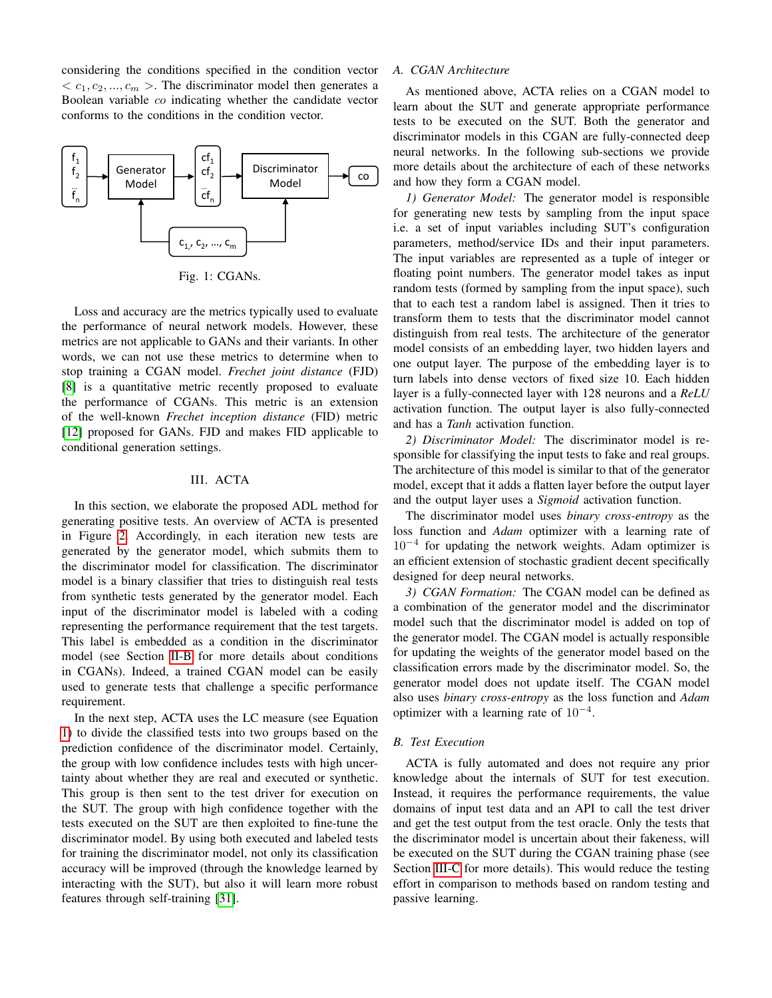considering the conditions specified in the condition vector  $\langle c_1, c_2, ..., c_m \rangle$ . The discriminator model then generates a Boolean variable co indicating whether the candidate vector conforms to the conditions in the condition vector.

<span id="page-2-1"></span>

Fig. 1: CGANs.

Loss and accuracy are the metrics typically used to evaluate the performance of neural network models. However, these metrics are not applicable to GANs and their variants. In other words, we can not use these metrics to determine when to stop training a CGAN model. *Frechet joint distance* (FJD) [\[8\]](#page-8-21) is a quantitative metric recently proposed to evaluate the performance of CGANs. This metric is an extension of the well-known *Frechet inception distance* (FID) metric [\[12\]](#page-8-22) proposed for GANs. FJD and makes FID applicable to conditional generation settings.

# III. ACTA

<span id="page-2-0"></span>In this section, we elaborate the proposed ADL method for generating positive tests. An overview of ACTA is presented in Figure [2.](#page-3-1) Accordingly, in each iteration new tests are generated by the generator model, which submits them to the discriminator model for classification. The discriminator model is a binary classifier that tries to distinguish real tests from synthetic tests generated by the generator model. Each input of the discriminator model is labeled with a coding representing the performance requirement that the test targets. This label is embedded as a condition in the discriminator model (see Section [II-B](#page-1-1) for more details about conditions in CGANs). Indeed, a trained CGAN model can be easily used to generate tests that challenge a specific performance requirement.

In the next step, ACTA uses the LC measure (see Equation [1\)](#page-1-2) to divide the classified tests into two groups based on the prediction confidence of the discriminator model. Certainly, the group with low confidence includes tests with high uncertainty about whether they are real and executed or synthetic. This group is then sent to the test driver for execution on the SUT. The group with high confidence together with the tests executed on the SUT are then exploited to fine-tune the discriminator model. By using both executed and labeled tests for training the discriminator model, not only its classification accuracy will be improved (through the knowledge learned by interacting with the SUT), but also it will learn more robust features through self-training [\[31\]](#page-8-23).

# <span id="page-2-2"></span>*A. CGAN Architecture*

As mentioned above, ACTA relies on a CGAN model to learn about the SUT and generate appropriate performance tests to be executed on the SUT. Both the generator and discriminator models in this CGAN are fully-connected deep neural networks. In the following sub-sections we provide more details about the architecture of each of these networks and how they form a CGAN model.

*1) Generator Model:* The generator model is responsible for generating new tests by sampling from the input space i.e. a set of input variables including SUT's configuration parameters, method/service IDs and their input parameters. The input variables are represented as a tuple of integer or floating point numbers. The generator model takes as input random tests (formed by sampling from the input space), such that to each test a random label is assigned. Then it tries to transform them to tests that the discriminator model cannot distinguish from real tests. The architecture of the generator model consists of an embedding layer, two hidden layers and one output layer. The purpose of the embedding layer is to turn labels into dense vectors of fixed size 10. Each hidden layer is a fully-connected layer with 128 neurons and a *ReLU* activation function. The output layer is also fully-connected and has a *Tanh* activation function.

*2) Discriminator Model:* The discriminator model is responsible for classifying the input tests to fake and real groups. The architecture of this model is similar to that of the generator model, except that it adds a flatten layer before the output layer and the output layer uses a *Sigmoid* activation function.

The discriminator model uses *binary cross-entropy* as the loss function and *Adam* optimizer with a learning rate of 10<sup>−</sup><sup>4</sup> for updating the network weights. Adam optimizer is an efficient extension of stochastic gradient decent specifically designed for deep neural networks.

*3) CGAN Formation:* The CGAN model can be defined as a combination of the generator model and the discriminator model such that the discriminator model is added on top of the generator model. The CGAN model is actually responsible for updating the weights of the generator model based on the classification errors made by the discriminator model. So, the generator model does not update itself. The CGAN model also uses *binary cross-entropy* as the loss function and *Adam* optimizer with a learning rate of  $10^{-4}$ .

# *B. Test Execution*

ACTA is fully automated and does not require any prior knowledge about the internals of SUT for test execution. Instead, it requires the performance requirements, the value domains of input test data and an API to call the test driver and get the test output from the test oracle. Only the tests that the discriminator model is uncertain about their fakeness, will be executed on the SUT during the CGAN training phase (see Section [III-C](#page-3-2) for more details). This would reduce the testing effort in comparison to methods based on random testing and passive learning.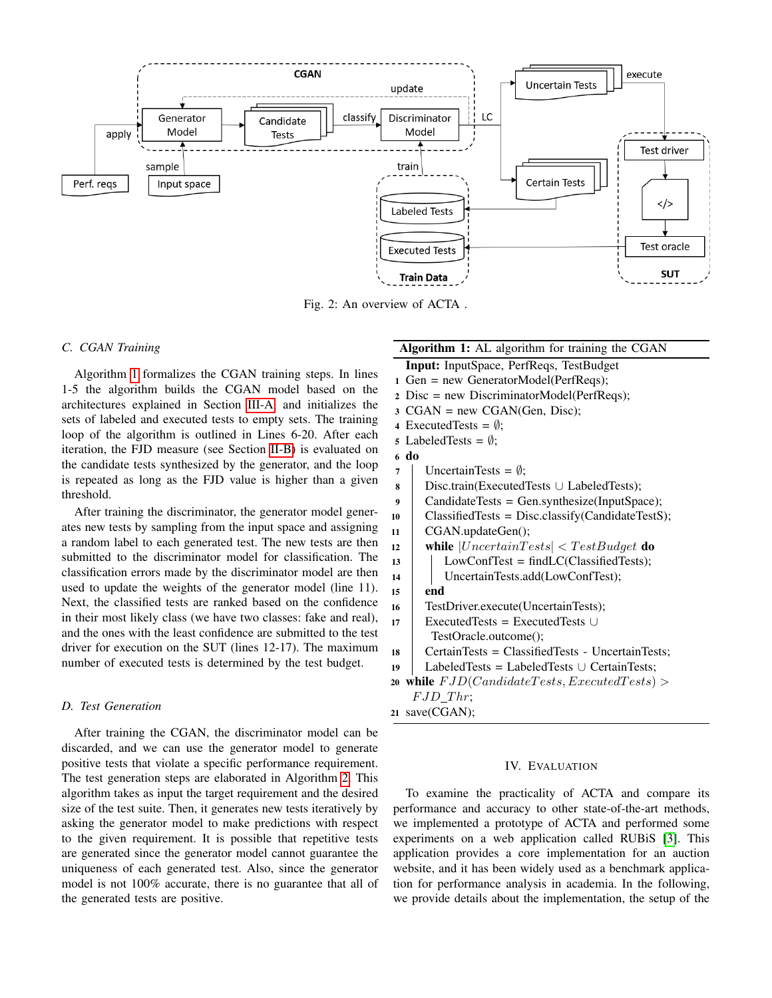<span id="page-3-1"></span>

Fig. 2: An overview of ACTA .

# <span id="page-3-2"></span>*C. CGAN Training*

Algorithm [1](#page-3-3) formalizes the CGAN training steps. In lines 1-5 the algorithm builds the CGAN model based on the architectures explained in Section [III-A,](#page-2-2) and initializes the sets of labeled and executed tests to empty sets. The training loop of the algorithm is outlined in Lines 6-20. After each iteration, the FJD measure (see Section [II-B\)](#page-1-1) is evaluated on the candidate tests synthesized by the generator, and the loop is repeated as long as the FJD value is higher than a given threshold.

After training the discriminator, the generator model generates new tests by sampling from the input space and assigning a random label to each generated test. The new tests are then submitted to the discriminator model for classification. The classification errors made by the discriminator model are then used to update the weights of the generator model (line 11). Next, the classified tests are ranked based on the confidence in their most likely class (we have two classes: fake and real), and the ones with the least confidence are submitted to the test driver for execution on the SUT (lines 12-17). The maximum number of executed tests is determined by the test budget.

# *D. Test Generation*

After training the CGAN, the discriminator model can be discarded, and we can use the generator model to generate positive tests that violate a specific performance requirement. The test generation steps are elaborated in Algorithm [2.](#page-4-0) This algorithm takes as input the target requirement and the desired size of the test suite. Then, it generates new tests iteratively by asking the generator model to make predictions with respect to the given requirement. It is possible that repetitive tests are generated since the generator model cannot guarantee the uniqueness of each generated test. Also, since the generator model is not 100% accurate, there is no guarantee that all of the generated tests are positive.

# Algorithm 1: AL algorithm for training the CGAN

- Input: InputSpace, PerfReqs, TestBudget <sup>1</sup> Gen = new GeneratorModel(PerfReqs);
- <sup>2</sup> Disc = new DiscriminatorModel(PerfReqs);
- $3 \text{ CGAN} = \text{new CGAN}(\text{Gen, Disc});$
- 4 ExecutedTests =  $\emptyset$ ;
- 5 LabeledTests =  $\emptyset$ ;
- 6 do
- 7 | UncertainTests =  $\emptyset$ ;
- <sup>8</sup> Disc.train(ExecutedTests ∪ LabeledTests);
- <sup>9</sup> CandidateTests = Gen.synthesize(InputSpace);
- 10 | ClassifiedTests = Disc.classify(CandidateTestS); <sup>11</sup> CGAN.updateGen();
- 12 while  $|UncertainTests| < TestBudget$  do
- 13 | LowConfTest =  $findLC(ClassifiedTests);$
- 14 | UncertainTests.add(LowConfTest);
- $15$  end <sup>16</sup> TestDriver.execute(UncertainTests);
- <sup>17</sup> ExecutedTests = ExecutedTests ∪
	- TestOracle.outcome();
- <sup>18</sup> CertainTests = ClassifiedTests UncertainTests;
- <sup>19</sup> LabeledTests = LabeledTests ∪ CertainTests; 20 while  $FJD(CandidateTests, Executed Tests) >$
- <span id="page-3-3"></span> $FJD\_Thr;$ <sup>21</sup> save(CGAN);

#### IV. EVALUATION

<span id="page-3-0"></span>To examine the practicality of ACTA and compare its performance and accuracy to other state-of-the-art methods, we implemented a prototype of ACTA and performed some experiments on a web application called RUBiS [\[3\]](#page-8-24). This application provides a core implementation for an auction website, and it has been widely used as a benchmark application for performance analysis in academia. In the following, we provide details about the implementation, the setup of the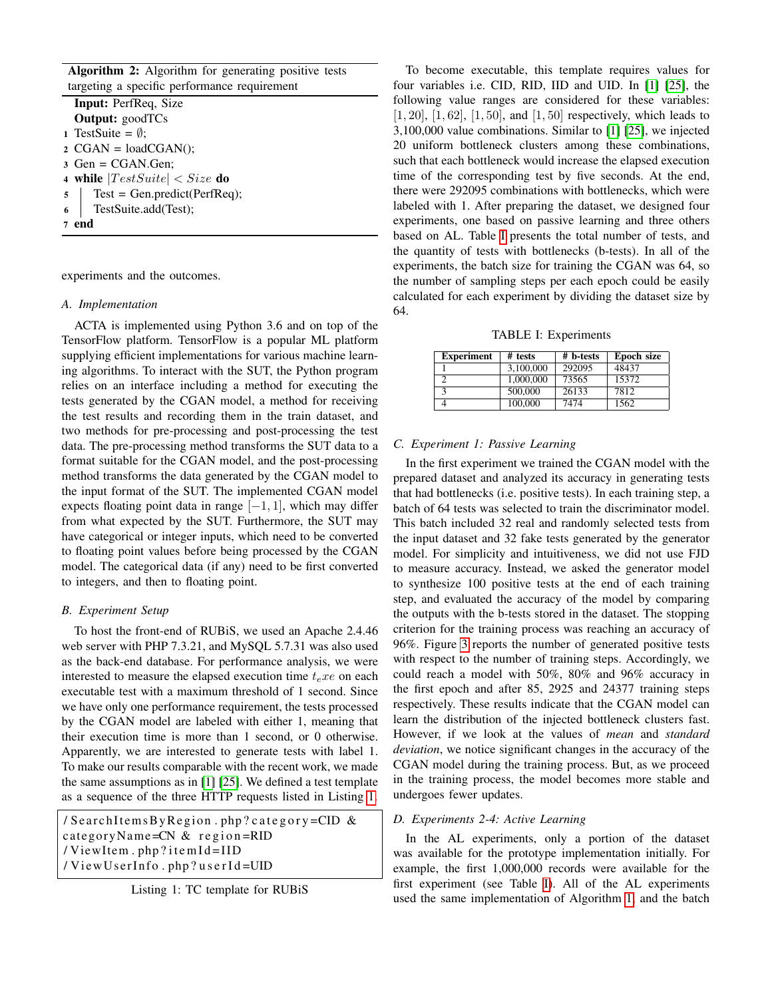| <b>Algorithm 2:</b> Algorithm for generating positive tests |  |  |  |  |  |  |  |  |  |
|-------------------------------------------------------------|--|--|--|--|--|--|--|--|--|
| targeting a specific performance requirement                |  |  |  |  |  |  |  |  |  |

| <b>Input:</b> PerfReq, Size          |  |  |  |  |  |
|--------------------------------------|--|--|--|--|--|
| <b>Output:</b> goodTCs               |  |  |  |  |  |
| 1 TestSuite = $\emptyset$ ;          |  |  |  |  |  |
| $2 \text{ CGAN} = \text{loadCGAN}$ : |  |  |  |  |  |
| $3 \text{ Gen} = \text{CGAN.Gen};$   |  |  |  |  |  |
| 4 while $ Test Suite  < Size$ do     |  |  |  |  |  |
| $5$   Test = Gen.predict(PerfReq);   |  |  |  |  |  |
| 6   TestSuite.add(Test);             |  |  |  |  |  |
| 7 end                                |  |  |  |  |  |
|                                      |  |  |  |  |  |

<span id="page-4-0"></span>experiments and the outcomes.

#### *A. Implementation*

ACTA is implemented using Python 3.6 and on top of the TensorFlow platform. TensorFlow is a popular ML platform supplying efficient implementations for various machine learning algorithms. To interact with the SUT, the Python program relies on an interface including a method for executing the tests generated by the CGAN model, a method for receiving the test results and recording them in the train dataset, and two methods for pre-processing and post-processing the test data. The pre-processing method transforms the SUT data to a format suitable for the CGAN model, and the post-processing method transforms the data generated by the CGAN model to the input format of the SUT. The implemented CGAN model expects floating point data in range  $[-1, 1]$ , which may differ from what expected by the SUT. Furthermore, the SUT may have categorical or integer inputs, which need to be converted to floating point values before being processed by the CGAN model. The categorical data (if any) need to be first converted to integers, and then to floating point.

#### <span id="page-4-3"></span>*B. Experiment Setup*

To host the front-end of RUBiS, we used an Apache 2.4.46 web server with PHP 7.3.21, and MySQL 5.7.31 was also used as the back-end database. For performance analysis, we were interested to measure the elapsed execution time  $t_e x e$  on each executable test with a maximum threshold of 1 second. Since we have only one performance requirement, the tests processed by the CGAN model are labeled with either 1, meaning that their execution time is more than 1 second, or 0 otherwise. Apparently, we are interested to generate tests with label 1. To make our results comparable with the recent work, we made the same assumptions as in [\[1\]](#page-7-0) [\[25\]](#page-8-4). We defined a test template as a sequence of the three HTTP requests listed in Listing [1.](#page-4-1)

<span id="page-4-1"></span>/ SearchItemsByRegion.php?category=CID  $\&$ category Name= $CN & region = RID$ / View Item . php? item Id=IID / ViewUserInfo.php?userId=UID

To become executable, this template requires values for four variables i.e. CID, RID, IID and UID. In [\[1\]](#page-7-0) [\[25\]](#page-8-4), the following value ranges are considered for these variables:  $[1, 20]$ ,  $[1, 62]$ ,  $[1, 50]$ , and  $[1, 50]$  respectively, which leads to 3,100,000 value combinations. Similar to [\[1\]](#page-7-0) [\[25\]](#page-8-4), we injected 20 uniform bottleneck clusters among these combinations, such that each bottleneck would increase the elapsed execution time of the corresponding test by five seconds. At the end, there were 292095 combinations with bottlenecks, which were labeled with 1. After preparing the dataset, we designed four experiments, one based on passive learning and three others based on AL. Table [I](#page-4-2) presents the total number of tests, and the quantity of tests with bottlenecks (b-tests). In all of the experiments, the batch size for training the CGAN was 64, so the number of sampling steps per each epoch could be easily calculated for each experiment by dividing the dataset size by 64.

TABLE I: Experiments

<span id="page-4-2"></span>

| <b>Experiment</b> | # tests   | # b-tests | Epoch size |
|-------------------|-----------|-----------|------------|
|                   | 3.100,000 | 292095    | 48437      |
|                   | 1,000,000 | 73565     | 15372      |
| 2                 | 500,000   | 26133     | 7812       |
|                   | 100,000   | 7474      | 1562       |

#### *C. Experiment 1: Passive Learning*

In the first experiment we trained the CGAN model with the prepared dataset and analyzed its accuracy in generating tests that had bottlenecks (i.e. positive tests). In each training step, a batch of 64 tests was selected to train the discriminator model. This batch included 32 real and randomly selected tests from the input dataset and 32 fake tests generated by the generator model. For simplicity and intuitiveness, we did not use FJD to measure accuracy. Instead, we asked the generator model to synthesize 100 positive tests at the end of each training step, and evaluated the accuracy of the model by comparing the outputs with the b-tests stored in the dataset. The stopping criterion for the training process was reaching an accuracy of 96%. Figure [3](#page-5-1) reports the number of generated positive tests with respect to the number of training steps. Accordingly, we could reach a model with 50%, 80% and 96% accuracy in the first epoch and after 85, 2925 and 24377 training steps respectively. These results indicate that the CGAN model can learn the distribution of the injected bottleneck clusters fast. However, if we look at the values of *mean* and *standard deviation*, we notice significant changes in the accuracy of the CGAN model during the training process. But, as we proceed in the training process, the model becomes more stable and undergoes fewer updates.

#### <span id="page-4-4"></span>*D. Experiments 2-4: Active Learning*

In the AL experiments, only a portion of the dataset was available for the prototype implementation initially. For example, the first 1,000,000 records were available for the first experiment (see Table [I\)](#page-4-2). All of the AL experiments used the same implementation of Algorithm [1,](#page-3-3) and the batch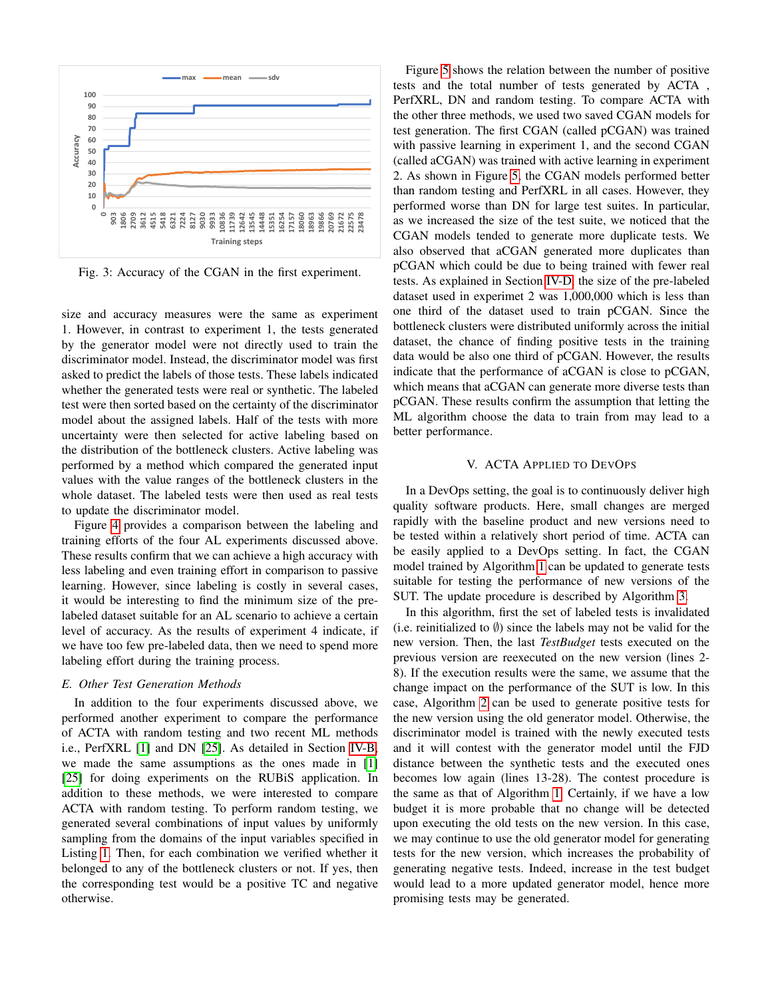<span id="page-5-1"></span>

Fig. 3: Accuracy of the CGAN in the first experiment.

size and accuracy measures were the same as experiment 1. However, in contrast to experiment 1, the tests generated by the generator model were not directly used to train the discriminator model. Instead, the discriminator model was first asked to predict the labels of those tests. These labels indicated whether the generated tests were real or synthetic. The labeled test were then sorted based on the certainty of the discriminator model about the assigned labels. Half of the tests with more uncertainty were then selected for active labeling based on the distribution of the bottleneck clusters. Active labeling was performed by a method which compared the generated input values with the value ranges of the bottleneck clusters in the whole dataset. The labeled tests were then used as real tests to update the discriminator model.

Figure [4](#page-6-1) provides a comparison between the labeling and training efforts of the four AL experiments discussed above. These results confirm that we can achieve a high accuracy with less labeling and even training effort in comparison to passive learning. However, since labeling is costly in several cases, it would be interesting to find the minimum size of the prelabeled dataset suitable for an AL scenario to achieve a certain level of accuracy. As the results of experiment 4 indicate, if we have too few pre-labeled data, then we need to spend more labeling effort during the training process.

## *E. Other Test Generation Methods*

In addition to the four experiments discussed above, we performed another experiment to compare the performance of ACTA with random testing and two recent ML methods i.e., PerfXRL [\[1\]](#page-7-0) and DN [\[25\]](#page-8-4). As detailed in Section [IV-B,](#page-4-3) we made the same assumptions as the ones made in [\[1\]](#page-7-0) [\[25\]](#page-8-4) for doing experiments on the RUBiS application. In addition to these methods, we were interested to compare ACTA with random testing. To perform random testing, we generated several combinations of input values by uniformly sampling from the domains of the input variables specified in Listing [1.](#page-4-1) Then, for each combination we verified whether it belonged to any of the bottleneck clusters or not. If yes, then the corresponding test would be a positive TC and negative otherwise.

Figure [5](#page-6-2) shows the relation between the number of positive tests and the total number of tests generated by ACTA , PerfXRL, DN and random testing. To compare ACTA with the other three methods, we used two saved CGAN models for test generation. The first CGAN (called pCGAN) was trained with passive learning in experiment 1, and the second CGAN (called aCGAN) was trained with active learning in experiment 2. As shown in Figure [5,](#page-6-2) the CGAN models performed better than random testing and PerfXRL in all cases. However, they performed worse than DN for large test suites. In particular, as we increased the size of the test suite, we noticed that the CGAN models tended to generate more duplicate tests. We also observed that aCGAN generated more duplicates than pCGAN which could be due to being trained with fewer real tests. As explained in Section [IV-D,](#page-4-4) the size of the pre-labeled dataset used in experimet 2 was 1,000,000 which is less than one third of the dataset used to train pCGAN. Since the bottleneck clusters were distributed uniformly across the initial dataset, the chance of finding positive tests in the training data would be also one third of pCGAN. However, the results indicate that the performance of aCGAN is close to pCGAN, which means that aCGAN can generate more diverse tests than pCGAN. These results confirm the assumption that letting the ML algorithm choose the data to train from may lead to a better performance.

#### V. ACTA APPLIED TO DEVOPS

<span id="page-5-0"></span>In a DevOps setting, the goal is to continuously deliver high quality software products. Here, small changes are merged rapidly with the baseline product and new versions need to be tested within a relatively short period of time. ACTA can be easily applied to a DevOps setting. In fact, the CGAN model trained by Algorithm [1](#page-3-3) can be updated to generate tests suitable for testing the performance of new versions of the SUT. The update procedure is described by Algorithm [3.](#page-7-2)

In this algorithm, first the set of labeled tests is invalidated (i.e. reinitialized to  $\emptyset$ ) since the labels may not be valid for the new version. Then, the last *TestBudget* tests executed on the previous version are reexecuted on the new version (lines 2- 8). If the execution results were the same, we assume that the change impact on the performance of the SUT is low. In this case, Algorithm [2](#page-4-0) can be used to generate positive tests for the new version using the old generator model. Otherwise, the discriminator model is trained with the newly executed tests and it will contest with the generator model until the FJD distance between the synthetic tests and the executed ones becomes low again (lines 13-28). The contest procedure is the same as that of Algorithm [1.](#page-3-3) Certainly, if we have a low budget it is more probable that no change will be detected upon executing the old tests on the new version. In this case, we may continue to use the old generator model for generating tests for the new version, which increases the probability of generating negative tests. Indeed, increase in the test budget would lead to a more updated generator model, hence more promising tests may be generated.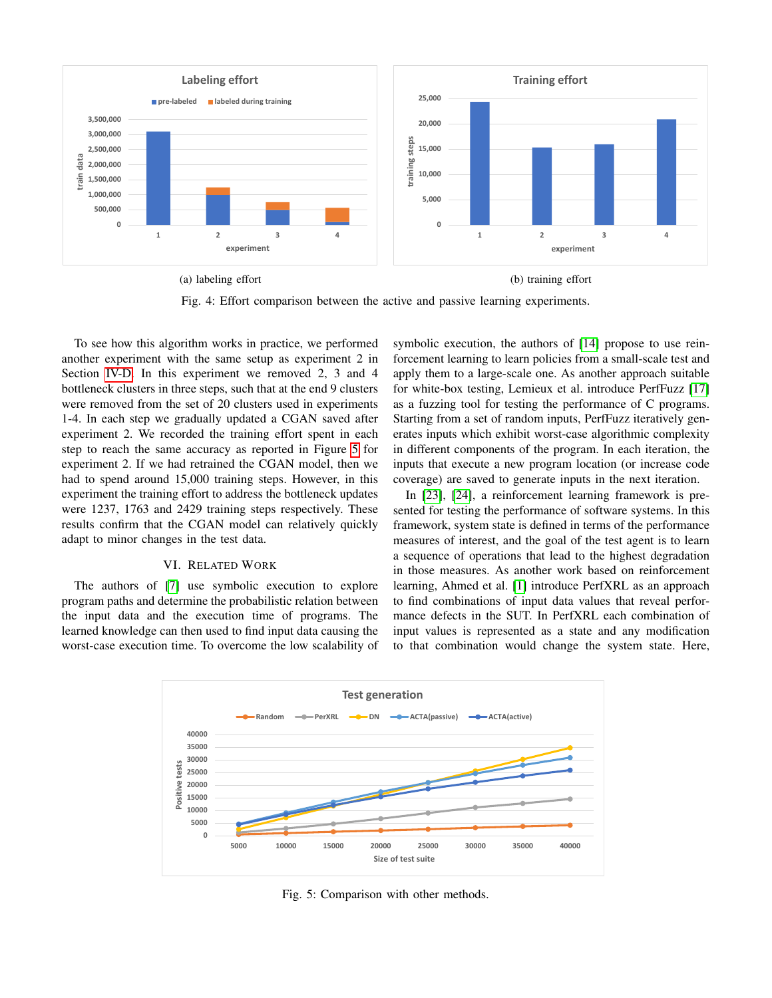<span id="page-6-1"></span>

Fig. 4: Effort comparison between the active and passive learning experiments.

To see how this algorithm works in practice, we performed another experiment with the same setup as experiment 2 in Section [IV-D.](#page-4-4) In this experiment we removed 2, 3 and 4 bottleneck clusters in three steps, such that at the end 9 clusters were removed from the set of 20 clusters used in experiments 1-4. In each step we gradually updated a CGAN saved after experiment 2. We recorded the training effort spent in each step to reach the same accuracy as reported in Figure [5](#page-6-2) for experiment 2. If we had retrained the CGAN model, then we had to spend around 15,000 training steps. However, in this experiment the training effort to address the bottleneck updates were 1237, 1763 and 2429 training steps respectively. These results confirm that the CGAN model can relatively quickly adapt to minor changes in the test data.

#### VI. RELATED WORK

<span id="page-6-0"></span>The authors of [\[7\]](#page-8-12) use symbolic execution to explore program paths and determine the probabilistic relation between the input data and the execution time of programs. The learned knowledge can then used to find input data causing the worst-case execution time. To overcome the low scalability of symbolic execution, the authors of [\[14\]](#page-8-14) propose to use reinforcement learning to learn policies from a small-scale test and apply them to a large-scale one. As another approach suitable for white-box testing, Lemieux et al. introduce PerfFuzz [\[17\]](#page-8-10) as a fuzzing tool for testing the performance of C programs. Starting from a set of random inputs, PerfFuzz iteratively generates inputs which exhibit worst-case algorithmic complexity in different components of the program. In each iteration, the inputs that execute a new program location (or increase code coverage) are saved to generate inputs in the next iteration.

In [\[23\]](#page-8-25), [\[24\]](#page-8-26), a reinforcement learning framework is presented for testing the performance of software systems. In this framework, system state is defined in terms of the performance measures of interest, and the goal of the test agent is to learn a sequence of operations that lead to the highest degradation in those measures. As another work based on reinforcement learning, Ahmed et al. [\[1\]](#page-7-0) introduce PerfXRL as an approach to find combinations of input data values that reveal performance defects in the SUT. In PerfXRL each combination of input values is represented as a state and any modification to that combination would change the system state. Here,

<span id="page-6-2"></span>

Fig. 5: Comparison with other methods.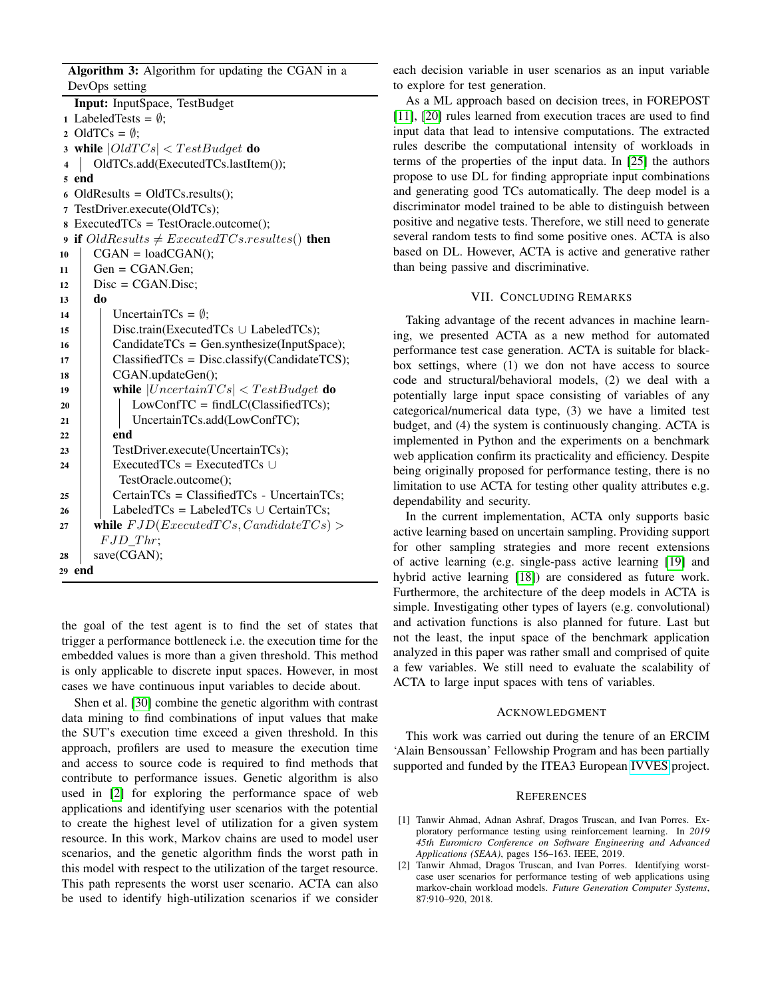Algorithm 3: Algorithm for updating the CGAN in a DevOps setting

Input: InputSpace, TestBudget 1 LabeledTests =  $\emptyset$ ; 2 OldTCs =  $\emptyset$ ; 3 while  $|Old TCs| < TestBudget$  do 4 | OldTCs.add(ExecutedTCs.lastItem()); 5 end 6 OldResults = OldTCs.results $(i)$ ; 7 TestDriver.execute(OldTCs); 8 ExecutedTCs = TestOracle.outcome(); 9 if  $OldResults \neq Executed TCs. results()$  then  $10$  CGAN = loadCGAN();  $11$  Gen = CGAN.Gen;  $12$  Disc = CGAN.Disc; 13 do 14 | UncertainTCs =  $\emptyset$ ; <sup>15</sup> Disc.train(ExecutedTCs ∪ LabeledTCs);  $16$  | CandidateTCs = Gen.synthesize(InputSpace);  $17$  | Classified TCs = Disc.classify (Candidate TCS); 18 | CGAN.updateGen(); 19 | while  $|Uncertain TCs| < TestBudget$  do 20 | | LowConfTC = findLC(ClassifiedTCs); 21 | UncertainTCs.add(LowConfTC);  $22$  end 23 | TestDriver.execute(UncertainTCs); 24 Executed  $TCs = Executed TCs \cup$ TestOracle.outcome();  $25$  | CertainTCs = ClassifiedTCs - UncertainTCs;  $26$  LabeledTCs = LabeledTCs ∪ CertainTCs; 27 while  $FJD(Execute dTCs, Candidate TCs) >$  $FJD\_Thr;$  $28$  save(CGAN); 29 end

<span id="page-7-2"></span>the goal of the test agent is to find the set of states that trigger a performance bottleneck i.e. the execution time for the embedded values is more than a given threshold. This method is only applicable to discrete input spaces. However, in most cases we have continuous input variables to decide about.

Shen et al. [\[30\]](#page-8-8) combine the genetic algorithm with contrast data mining to find combinations of input values that make the SUT's execution time exceed a given threshold. In this approach, profilers are used to measure the execution time and access to source code is required to find methods that contribute to performance issues. Genetic algorithm is also used in [\[2\]](#page-7-3) for exploring the performance space of web applications and identifying user scenarios with the potential to create the highest level of utilization for a given system resource. In this work, Markov chains are used to model user scenarios, and the genetic algorithm finds the worst path in this model with respect to the utilization of the target resource. This path represents the worst user scenario. ACTA can also be used to identify high-utilization scenarios if we consider

each decision variable in user scenarios as an input variable to explore for test generation.

As a ML approach based on decision trees, in FOREPOST [\[11\]](#page-8-27), [\[20\]](#page-8-15) rules learned from execution traces are used to find input data that lead to intensive computations. The extracted rules describe the computational intensity of workloads in terms of the properties of the input data. In [\[25\]](#page-8-4) the authors propose to use DL for finding appropriate input combinations and generating good TCs automatically. The deep model is a discriminator model trained to be able to distinguish between positive and negative tests. Therefore, we still need to generate several random tests to find some positive ones. ACTA is also based on DL. However, ACTA is active and generative rather than being passive and discriminative.

# VII. CONCLUDING REMARKS

<span id="page-7-1"></span>Taking advantage of the recent advances in machine learning, we presented ACTA as a new method for automated performance test case generation. ACTA is suitable for blackbox settings, where (1) we don not have access to source code and structural/behavioral models, (2) we deal with a potentially large input space consisting of variables of any categorical/numerical data type, (3) we have a limited test budget, and (4) the system is continuously changing. ACTA is implemented in Python and the experiments on a benchmark web application confirm its practicality and efficiency. Despite being originally proposed for performance testing, there is no limitation to use ACTA for testing other quality attributes e.g. dependability and security.

In the current implementation, ACTA only supports basic active learning based on uncertain sampling. Providing support for other sampling strategies and more recent extensions of active learning (e.g. single-pass active learning [\[19\]](#page-8-28) and hybrid active learning [\[18\]](#page-8-29)) are considered as future work. Furthermore, the architecture of the deep models in ACTA is simple. Investigating other types of layers (e.g. convolutional) and activation functions is also planned for future. Last but not the least, the input space of the benchmark application analyzed in this paper was rather small and comprised of quite a few variables. We still need to evaluate the scalability of ACTA to large input spaces with tens of variables.

#### ACKNOWLEDGMENT

This work was carried out during the tenure of an ERCIM 'Alain Bensoussan' Fellowship Program and has been partially supported and funded by the ITEA3 European [IVVES](https://itea3.org/project/ivves.html) project.

#### **REFERENCES**

- <span id="page-7-0"></span>[1] Tanwir Ahmad, Adnan Ashraf, Dragos Truscan, and Ivan Porres. Exploratory performance testing using reinforcement learning. In *2019 45th Euromicro Conference on Software Engineering and Advanced Applications (SEAA)*, pages 156–163. IEEE, 2019.
- <span id="page-7-3"></span>[2] Tanwir Ahmad, Dragos Truscan, and Ivan Porres. Identifying worstcase user scenarios for performance testing of web applications using markov-chain workload models. *Future Generation Computer Systems*, 87:910–920, 2018.